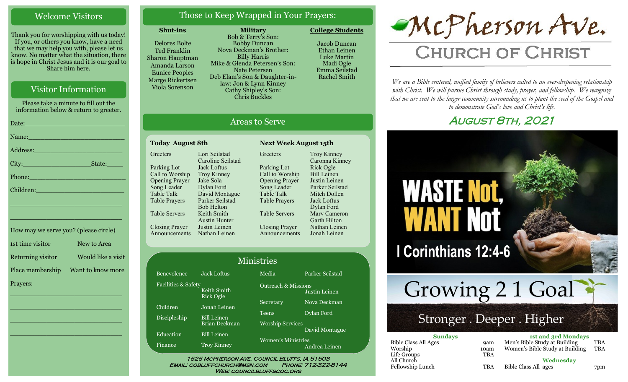#### Welcome Visitors

Thank you for worshipping with us today! If you, or others you know, have a need that we may help you with, please let us know. No matter what the situation, there is hope in Christ Jesus and it is our goal to Share him here.

#### Visitor Information

Please take a minute to fill out the information below & return to greeter. Date:\_\_\_\_\_\_\_\_\_\_\_\_\_\_\_\_\_\_\_\_\_\_\_\_\_ Name: Address:\_\_\_\_\_\_\_\_\_\_\_\_\_\_\_\_\_\_\_\_\_\_ City:\_\_\_\_\_\_\_\_\_\_\_\_\_\_\_\_\_State:\_\_\_\_ Phone: Children: \_\_\_\_\_\_\_\_\_\_\_\_\_\_\_\_\_\_\_\_\_\_\_\_\_\_\_\_

How may we serve you? (please circle) 1st time visitor New to Area Returning visitor Would like a visit Place membership Want to know more Prayers:

\_\_\_\_\_\_\_\_\_\_\_\_\_\_\_\_\_\_\_\_\_\_\_\_\_\_\_\_

\_\_\_\_\_\_\_\_\_\_\_\_\_\_\_\_\_\_\_\_\_\_\_\_\_\_\_\_

\_\_\_\_\_\_\_\_\_\_\_\_\_\_\_\_\_\_\_\_\_\_\_\_\_\_\_\_

\_\_\_\_\_\_\_\_\_\_\_\_\_\_\_\_\_\_\_\_\_\_\_\_\_\_\_\_

\_\_\_\_\_\_\_\_\_\_\_\_\_\_\_\_\_\_\_\_\_\_\_\_\_\_\_\_

#### Those to Keep Wrapped in Your Prayers:

#### **Shut-ins**

Delores Bolte Ted Franklin Sharon Hauptman Amanda Larson Eunice Peoples Marge Rickertsen Viola Sorenson

**Military** Bob & Terry's Son: Bobby Duncan Nova Deckman's Brother: Billy Harris Mike & Glenda Petersen's Son: Nate Petersen Deb Elam's Son & Daughter-inlaw: Jon & Lynn Kinney Cathy Shipley's Son: Chris Buckles

Areas to Serve

Jacob Duncan Ethan Leinen Luke Martin Madi Ogle Emma Seilstad

Rachel Smith

**College Students** 

# McPherson Ave.

## **CHURCH OF CHRIST**

*We are a Bible centered, unified family of believers called to an ever-deepening relationship*  with Christ. We will pursue Christ through study, prayer, and fellowship. We recognize *that we are sent to the larger community surrounding us to plant the seed of the Gospel and to demonstrate God's love and Christ's life.*

#### August 8th, 2021



#### **Today August 8th Next Week August 15th Greeters** Parking Lot Call to Worship Opening Prayer Song Leader Table Talk Table Prayers Table Servers Closing Prayer Announcements Nathan Leinen Lori Seilstad Caroline Seilstad Jack Loftus Troy Kinney Jake Sola Dylan Ford David Montague Parker Seilstad Bob Helton Keith Smith Austin Hunter Justin Leinen

Benev Facilit

Childr Discip

Educa Finano

Greeters Parking Lot Call to Worship Opening Prayer Song Leader Table Talk Table Prayers Table Servers Closing Prayer Announcements Troy Kinney Caronna Kinney Rick Ogle Bill Leinen Justin Leinen Parker Seilstad Mitch Dollen Jack Loftus Dylan Ford Marv Cameron Garth Hilton Nathan Leinen Jonah Leinen

| <b>Jack Loftus</b> | Media                                                  | Parker Seilstad |
|--------------------|--------------------------------------------------------|-----------------|
| Keith Smith        | <b>Outreach &amp; Missions</b>                         | Justin Leinen   |
| Jonah Leinen       | Secretary                                              | Nova Deckman    |
| <b>Bill Leinen</b> | <b>Teens</b>                                           | Dylan Ford      |
| Brian Deckman      | <b>Worship Services</b>                                | David Montague  |
| <b>Troy Kinney</b> | Women's Ministries                                     | Andrea Leinen   |
|                    | ies & Safety<br><b>Rick Ogle</b><br><b>Bill Leinen</b> | Ministries      |

1525 McPherson Ave. Council Bluffs, IA 51503 Email: cobluffchurch@msn.com Phone: 712-322-8144 WEB: COUNCILBLUFFSCOC.ORG